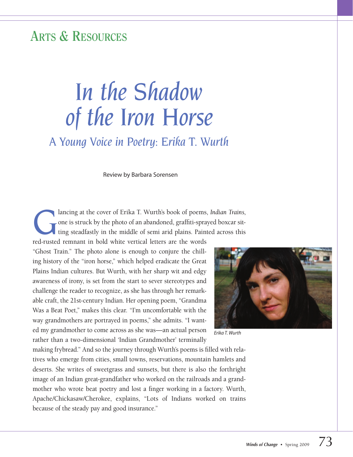## **Arts & Resources**

# *In the Shadow of the Iron Horse*

*A Young Voice in Poetry: Erika T. Wurth*

Review by Barbara Sorensen

ancing at the cover of Erika T. Wurth's book of poems, *Indian Trains*, one is struck by the photo of an abandoned, graffiti-sprayed boxcar sitting steadfastly in the middle of semi arid plains. Painted across this and muc one is struck by the photo of an abandoned, graffiti-sprayed boxcar sitting steadfastly in the middle of semi arid plains. Painted across this

red-rusted remnant in bold white vertical letters are the words "Ghost Train." The photo alone is enough to conjure the chilling history of the "iron horse," which helped eradicate the Great Plains Indian cultures. But Wurth, with her sharp wit and edgy awareness of irony, is set from the start to sever stereotypes and challenge the reader to recognize, as she has through her remarkable craft, the 21st-century Indian. Her opening poem, "Grandma Was a Beat Poet," makes this clear. "I'm uncomfortable with the way grandmothers are portrayed in poems," she admits. "I wanted my grandmother to come across as she was—an actual person rather than a two-dimensional 'Indian Grandmother' terminally

*Erika T. Wurth*

making frybread." And so the journey through Wurth's poems is filled with relatives who emerge from cities, small towns, reservations, mountain hamlets and deserts. She writes of sweetgrass and sunsets, but there is also the forthright image of an Indian great-grandfather who worked on the railroads and a grandmother who wrote beat poetry and lost a finger working in a factory. Wurth, Apache/Chickasaw/Cherokee, explains, "Lots of Indians worked on trains because of the steady pay and good insurance."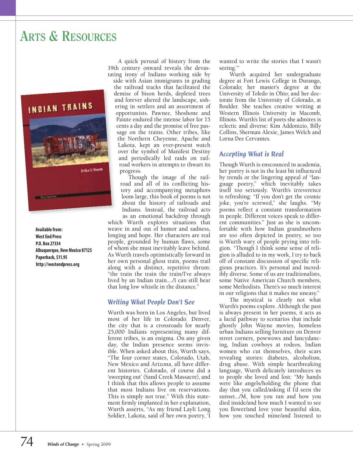## **Arts & Resources**



**Available from: WestEnd Press P.O. Box 27334 Albuquerque, NewMexico 87125 Paperback, \$11.95 http://westendpress.org**

A quick perusal of history from the 19th century onward reveals the devastating irony of Indians working side by

side with Asian immigrants in grading the railroad tracks that facilitated the demise of bison herds, depleted trees and forever altered the landscape, ushering in settlers and an assortment of opportunists. Pawnee, Shoshone and Paiute endured the intense labor for 15 cents a day and the promise of free passage on the trains. Other tribes, like the Northern Cheyenne, Apache and Lakota, kept an ever-present watch over the symbol of Manifest Destiny and periodically led raids on railroad workers in attempts to thwart its progress.

Though the image of the railroad and all of its conflicting history and accompanying metaphors loom large, this book of poems is not about the history of railroads and Indians. Instead, the railroad acts as an emotional backdrop through

which Wurth explores situations that weave in and out of humor and sadness, longing and hope. Her characters are real people, grounded by human flaws, some of whom she must inevitably leave behind. As Wurth travels optimistically forward in her own personal ghost train, poems trail along with a distinct, repetitive thrum: "the train the train the train/I've always lived by an Indian train..../I can still hear that long low whistle in the distance."

#### *Writing What People Don't See*

Wurth was born in Los Angeles, but lived most of her life in Colorado. Denver, the city that is a crossroads for nearly 25,000 Indians representing many different tribes, is an enigma. On any given day, the Indian presence seems invisible. When asked about this, Wurth says, "The four corner states, Colorado, Utah, New Mexico and Arizona, all have different histories. Colorado, of course did a 'sweeping out' (Sand Creek Massacre), and I think that this allows people to assume that most Indians live on reservations. This is simply not true." With this statement firmly implanted in her explanation, Wurth asserts, "As my friend Layli Long Soldier, Lakota, said of her own poetry, 'I wanted to write the stories that I wasn't seeing.'

Wurth acquired her undergraduate degree at Fort Lewis College in Durango, Colorado; her master's degree at the University of Toledo in Ohio; and her doctorate from the University of Colorado, at Boulder. She teaches creative writing at Western Illinois University in Macomb, Illinois. Wurth's list of poets she admires is eclectic and diverse: Kim Addonizio, Billy Collins, Sherman Alexie, James Welch and Lorna Dee Cervantes.

#### *Accepting What is Real*

Though Wurth is enscounced in academia, her poetry is not in the least bit influenced by trends or the lingering appeal of "language poetry," which inevitably takes itself too seriously. Wurth's irreverence is refreshing: "If you don't get the cosmic joke, you're screwed," she laughs. "My poems reflect a constant transformation in people. Different voices speak to different communities." Just as she is uncomfortable with how Indian grandmothers are too often depicted in poetry, so too is Wurth wary of people prying into religion. "Though I think some sense of religion is alluded to in my work, I try to back off of constant discussion of specific religious practices. It's personal and incredibly diverse. Some of us are traditionalists, some Native American Church members, some Methodists. There's so much interest in our religions that it makes me uneasy."

The mystical is clearly not what Wurth's poems explore. Although the past is always present in her poems, it acts as a lucid pathway to scenarios that include ghostly John Wayne movies, homeless urban Indians selling furniture on Denver street corners, powwows and fancydancing, Indian cowboys at rodeos, Indian women who cut themselves, their scars revealing stories: diabetes, alcoholism, drug abuse. With simple heartbreaking language, Wurth delicately introduces us to people she loved and lost: "My hands were like angels/holding the phone that day that you called/asking if I'd seen the sunset.../M, how you ran and how you died inside/and how much I wanted to see you flower/and love your beautiful skin, how you touched mine/and listened to